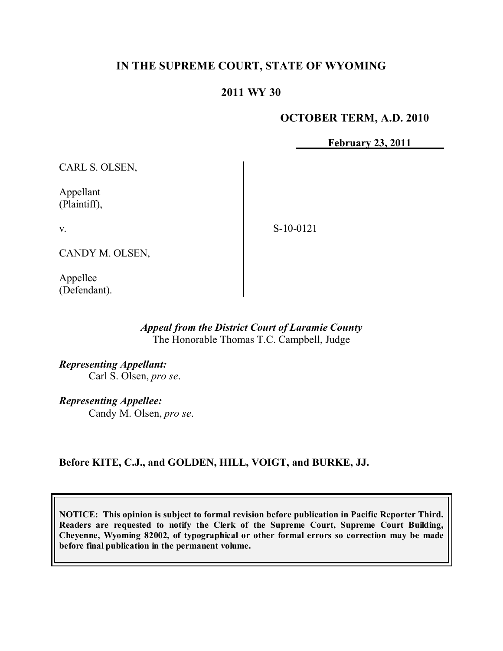# **IN THE SUPREME COURT, STATE OF WYOMING**

### **2011 WY 30**

### **OCTOBER TERM, A.D. 2010**

**February 23, 2011**

CARL S. OLSEN,

Appellant (Plaintiff),

v.

S-10-0121

CANDY M. OLSEN,

Appellee (Defendant).

#### *Appeal from the District Court of Laramie County* The Honorable Thomas T.C. Campbell, Judge

*Representing Appellant:* Carl S. Olsen, *pro se*.

*Representing Appellee:* Candy M. Olsen, *pro se*.

**Before KITE, C.J., and GOLDEN, HILL, VOIGT, and BURKE, JJ.**

**NOTICE: This opinion is subject to formal revision before publication in Pacific Reporter Third. Readers are requested to notify the Clerk of the Supreme Court, Supreme Court Building, Cheyenne, Wyoming 82002, of typographical or other formal errors so correction may be made before final publication in the permanent volume.**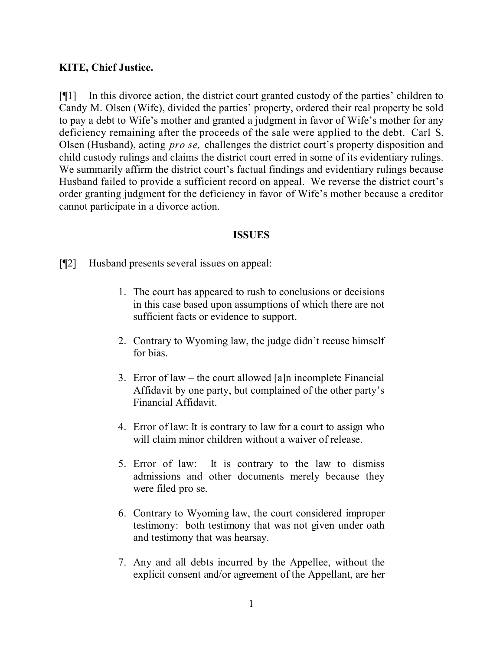# **KITE, Chief Justice.**

[¶1] In this divorce action, the district court granted custody of the parties' children to Candy M. Olsen (Wife), divided the parties' property, ordered their real property be sold to pay a debt to Wife's mother and granted a judgment in favor of Wife's mother for any deficiency remaining after the proceeds of the sale were applied to the debt. Carl S. Olsen (Husband), acting *pro se,* challenges the district court's property disposition and child custody rulings and claims the district court erred in some of its evidentiary rulings. We summarily affirm the district court's factual findings and evidentiary rulings because Husband failed to provide a sufficient record on appeal. We reverse the district court's order granting judgment for the deficiency in favor of Wife's mother because a creditor cannot participate in a divorce action.

#### **ISSUES**

[¶2] Husband presents several issues on appeal:

- 1. The court has appeared to rush to conclusions or decisions in this case based upon assumptions of which there are not sufficient facts or evidence to support.
- 2. Contrary to Wyoming law, the judge didn't recuse himself for bias.
- 3. Error of law the court allowed [a]n incomplete Financial Affidavit by one party, but complained of the other party's Financial Affidavit.
- 4. Error of law: It is contrary to law for a court to assign who will claim minor children without a waiver of release.
- 5. Error of law: It is contrary to the law to dismiss admissions and other documents merely because they were filed pro se.
- 6. Contrary to Wyoming law, the court considered improper testimony: both testimony that was not given under oath and testimony that was hearsay.
- 7. Any and all debts incurred by the Appellee, without the explicit consent and/or agreement of the Appellant, are her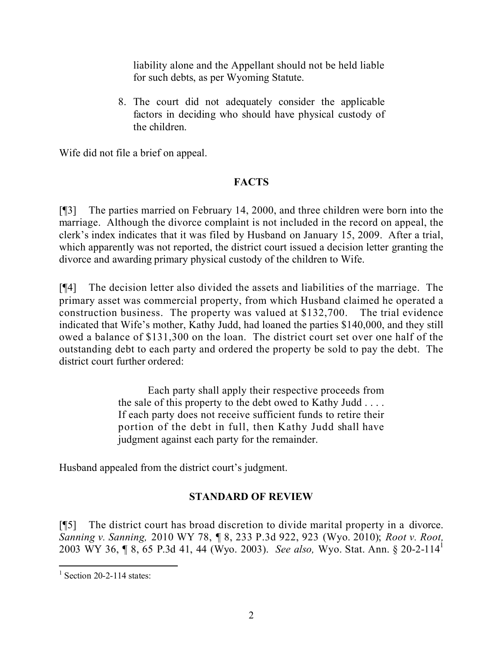liability alone and the Appellant should not be held liable for such debts, as per Wyoming Statute.

8. The court did not adequately consider the applicable factors in deciding who should have physical custody of the children.

Wife did not file a brief on appeal.

# **FACTS**

[¶3] The parties married on February 14, 2000, and three children were born into the marriage. Although the divorce complaint is not included in the record on appeal, the clerk's index indicates that it was filed by Husband on January 15, 2009. After a trial, which apparently was not reported, the district court issued a decision letter granting the divorce and awarding primary physical custody of the children to Wife.

[¶4] The decision letter also divided the assets and liabilities of the marriage. The primary asset was commercial property, from which Husband claimed he operated a construction business. The property was valued at \$132,700. The trial evidence indicated that Wife's mother, Kathy Judd, had loaned the parties \$140,000, and they still owed a balance of \$131,300 on the loan. The district court set over one half of the outstanding debt to each party and ordered the property be sold to pay the debt. The district court further ordered:

> Each party shall apply their respective proceeds from the sale of this property to the debt owed to Kathy Judd . . . . If each party does not receive sufficient funds to retire their portion of the debt in full, then Kathy Judd shall have judgment against each party for the remainder.

Husband appealed from the district court's judgment.

# **STANDARD OF REVIEW**

[¶5] The district court has broad discretion to divide marital property in a divorce. *Sanning v. Sanning,* 2010 WY 78, ¶ 8, 233 P.3d 922, 923 (Wyo. 2010); *Root v. Root,* 2003 WY 36, ¶ 8, 65 P.3d 41, 44 (Wyo. 2003). *See also,* Wyo. Stat. Ann. § 20-2-114<sup>1</sup>

 $\frac{1}{1}$  Section 20-2-114 states: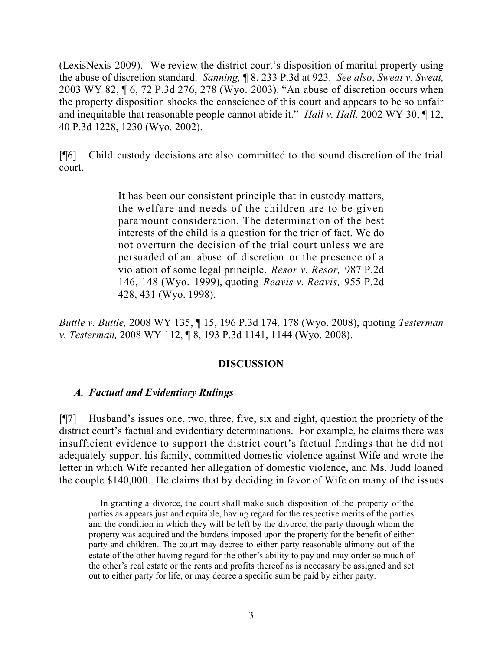(LexisNexis 2009). We review the district court's disposition of marital property using the abuse of discretion standard. *Sanning,* ¶ 8, 233 P.3d at 923. *See also*, *Sweat v. Sweat,* 2003 WY 82, ¶ 6, 72 P.3d 276, 278 (Wyo. 2003). "An abuse of discretion occurs when the property disposition shocks the conscience of this court and appears to be so unfair and inequitable that reasonable people cannot abide it." *Hall v. Hall,* 2002 WY 30, ¶ 12, 40 P.3d 1228, 1230 (Wyo. 2002).

[¶6] Child custody decisions are also committed to the sound discretion of the trial court.

> It has been our consistent principle that in custody matters, the welfare and needs of the children are to be given paramount consideration. The determination of the best interests of the child is a question for the trier of fact. We do not overturn the decision of the trial court unless we are persuaded of an abuse of discretion or the presence of a violation of some legal principle. *Resor v. Resor,* 987 P.2d 146, 148 (Wyo. 1999), quoting *Reavis v. Reavis,* 955 P.2d 428, 431 (Wyo. 1998).

*Buttle v. Buttle,* 2008 WY 135, ¶ 15, 196 P.3d 174, 178 (Wyo. 2008), quoting *Testerman v. Testerman,* 2008 WY 112, ¶ 8, 193 P.3d 1141, 1144 (Wyo. 2008).

### **DISCUSSION**

### *A. Factual and Evidentiary Rulings*

 $\overline{a}$ 

[¶7] Husband's issues one, two, three, five, six and eight, question the propriety of the district court's factual and evidentiary determinations. For example, he claims there was insufficient evidence to support the district court's factual findings that he did not adequately support his family, committed domestic violence against Wife and wrote the letter in which Wife recanted her allegation of domestic violence, and Ms. Judd loaned the couple \$140,000. He claims that by deciding in favor of Wife on many of the issues

In granting a divorce, the court shall make such disposition of the property of the parties as appears just and equitable, having regard for the respective merits of the parties and the condition in which they will be left by the divorce, the party through whom the property was acquired and the burdens imposed upon the property for the benefit of either party and children. The court may decree to either party reasonable alimony out of the estate of the other having regard for the other's ability to pay and may order so much of the other's real estate or the rents and profits thereof as is necessary be assigned and set out to either party for life, or may decree a specific sum be paid by either party.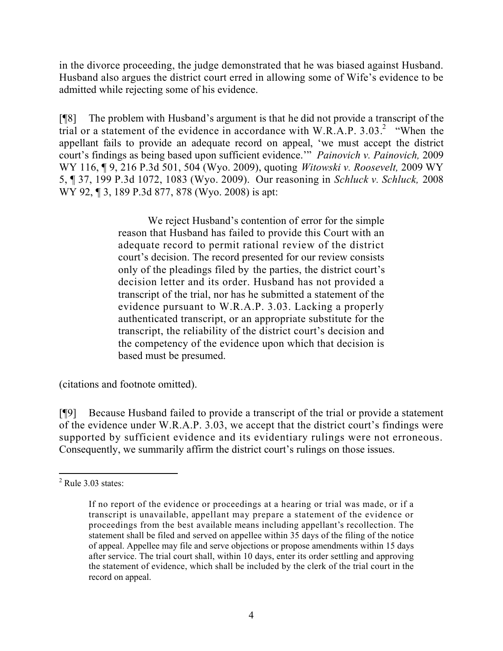in the divorce proceeding, the judge demonstrated that he was biased against Husband. Husband also argues the district court erred in allowing some of Wife's evidence to be admitted while rejecting some of his evidence.

[¶8] The problem with Husband's argument is that he did not provide a transcript of the trial or a statement of the evidence in accordance with W.R.A.P. 3.03.<sup>2</sup> "When the appellant fails to provide an adequate record on appeal, 'we must accept the district court's findings as being based upon sufficient evidence.'" *Painovich v. Painovich,* 2009 WY 116, ¶ 9, 216 P.3d 501, 504 (Wyo. 2009), quoting *Witowski v. Roosevelt,* 2009 WY 5, ¶ 37, 199 P.3d 1072, 1083 (Wyo. 2009). Our reasoning in *Schluck v. Schluck,* 2008 WY 92, 13, 189 P.3d 877, 878 (Wyo. 2008) is apt:

> We reject Husband's contention of error for the simple reason that Husband has failed to provide this Court with an adequate record to permit rational review of the district court's decision. The record presented for our review consists only of the pleadings filed by the parties, the district court's decision letter and its order. Husband has not provided a transcript of the trial, nor has he submitted a statement of the evidence pursuant to W.R.A.P. 3.03. Lacking a properly authenticated transcript, or an appropriate substitute for the transcript, the reliability of the district court's decision and the competency of the evidence upon which that decision is based must be presumed.

(citations and footnote omitted).

[¶9] Because Husband failed to provide a transcript of the trial or provide a statement of the evidence under W.R.A.P. 3.03, we accept that the district court's findings were supported by sufficient evidence and its evidentiary rulings were not erroneous. Consequently, we summarily affirm the district court's rulings on those issues.

 $\overline{a}$  $2$  Rule 3.03 states:

If no report of the evidence or proceedings at a hearing or trial was made, or if a transcript is unavailable, appellant may prepare a statement of the evidence or proceedings from the best available means including appellant's recollection. The statement shall be filed and served on appellee within 35 days of the filing of the notice of appeal. Appellee may file and serve objections or propose amendments within 15 days after service. The trial court shall, within 10 days, enter its order settling and approving the statement of evidence, which shall be included by the clerk of the trial court in the record on appeal.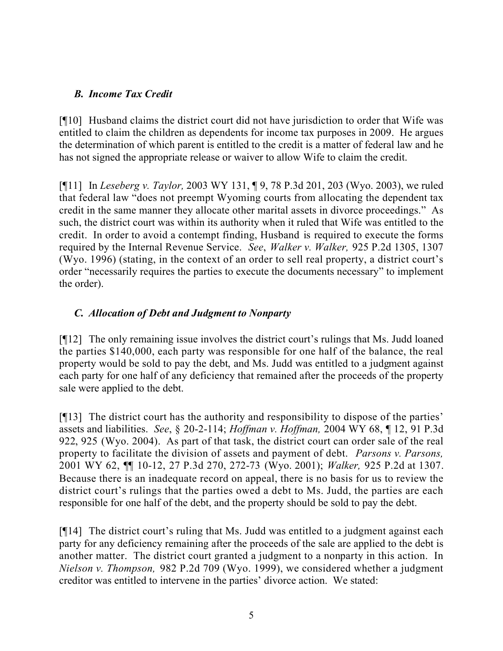## *B. Income Tax Credit*

[¶10] Husband claims the district court did not have jurisdiction to order that Wife was entitled to claim the children as dependents for income tax purposes in 2009. He argues the determination of which parent is entitled to the credit is a matter of federal law and he has not signed the appropriate release or waiver to allow Wife to claim the credit.

[¶11] In *Leseberg v. Taylor,* 2003 WY 131, ¶ 9, 78 P.3d 201, 203 (Wyo. 2003), we ruled that federal law "does not preempt Wyoming courts from allocating the dependent tax credit in the same manner they allocate other marital assets in divorce proceedings." As such, the district court was within its authority when it ruled that Wife was entitled to the credit. In order to avoid a contempt finding, Husband is required to execute the forms required by the Internal Revenue Service. *See*, *Walker v. Walker,* 925 P.2d 1305, 1307 (Wyo. 1996) (stating, in the context of an order to sell real property, a district court's order "necessarily requires the parties to execute the documents necessary" to implement the order).

# *C. Allocation of Debt and Judgment to Nonparty*

[¶12] The only remaining issue involves the district court's rulings that Ms. Judd loaned the parties \$140,000, each party was responsible for one half of the balance, the real property would be sold to pay the debt, and Ms. Judd was entitled to a judgment against each party for one half of any deficiency that remained after the proceeds of the property sale were applied to the debt.

[¶13] The district court has the authority and responsibility to dispose of the parties' assets and liabilities. *See*, § 20-2-114; *Hoffman v. Hoffman,* 2004 WY 68, ¶ 12, 91 P.3d 922, 925 (Wyo. 2004). As part of that task, the district court can order sale of the real property to facilitate the division of assets and payment of debt. *Parsons v. Parsons,*  2001 WY 62, ¶¶ 10-12, 27 P.3d 270, 272-73 (Wyo. 2001); *Walker,* 925 P.2d at 1307. Because there is an inadequate record on appeal, there is no basis for us to review the district court's rulings that the parties owed a debt to Ms. Judd, the parties are each responsible for one half of the debt, and the property should be sold to pay the debt.

[¶14] The district court's ruling that Ms. Judd was entitled to a judgment against each party for any deficiency remaining after the proceeds of the sale are applied to the debt is another matter. The district court granted a judgment to a nonparty in this action. In *Nielson v. Thompson,* 982 P.2d 709 (Wyo. 1999), we considered whether a judgment creditor was entitled to intervene in the parties' divorce action. We stated: